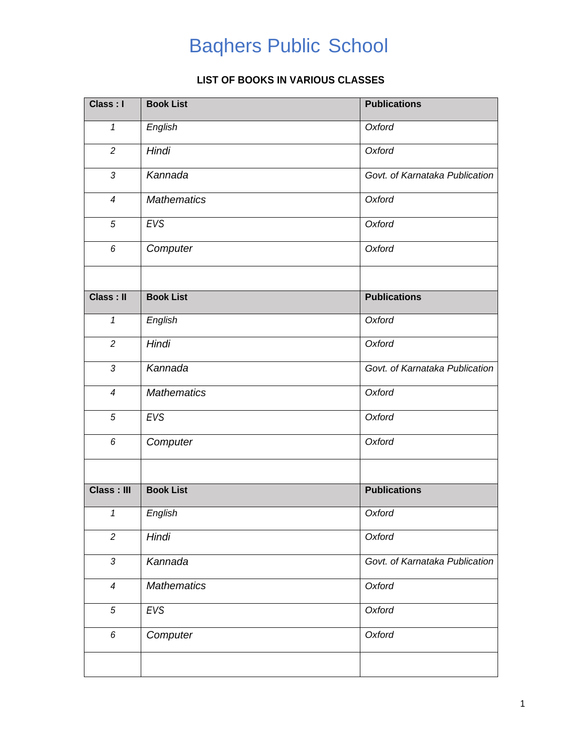## Baqhers Public School

## **LIST OF BOOKS IN VARIOUS CLASSES**

| <b>Book List</b>   | <b>Publications</b>            |
|--------------------|--------------------------------|
| English            | Oxford                         |
| Hindi              | Oxford                         |
| Kannada            | Govt. of Karnataka Publication |
| <b>Mathematics</b> | Oxford                         |
| EVS                | Oxford                         |
| Computer           | Oxford                         |
|                    |                                |
| <b>Book List</b>   | <b>Publications</b>            |
| English            | Oxford                         |
| Hindi              | Oxford                         |
| Kannada            | Govt. of Karnataka Publication |
| <b>Mathematics</b> | Oxford                         |
| EVS                | Oxford                         |
| Computer           | Oxford                         |
|                    |                                |
| <b>Book List</b>   | <b>Publications</b>            |
| English            | Oxford                         |
| Hindi              | Oxford                         |
| Kannada            | Govt. of Karnataka Publication |
| <b>Mathematics</b> | Oxford                         |
| EVS                | Oxford                         |
| Computer           | Oxford                         |
|                    |                                |
|                    |                                |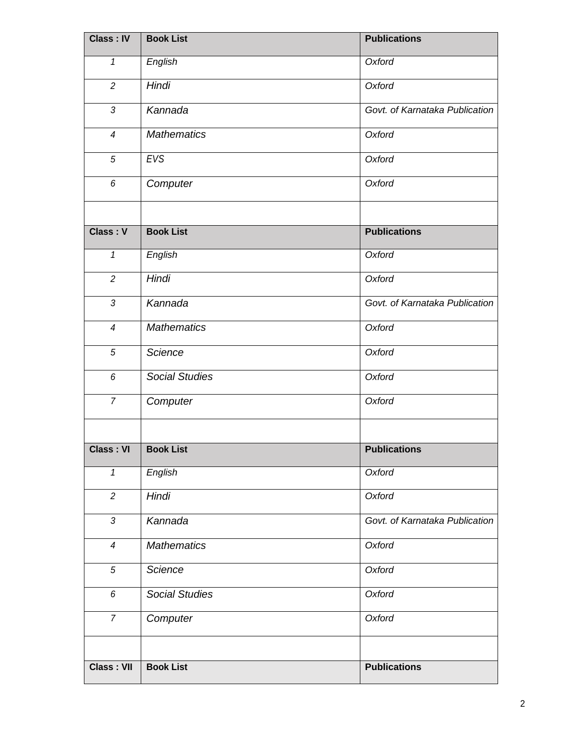| Class: IV         | <b>Book List</b>      | <b>Publications</b>            |
|-------------------|-----------------------|--------------------------------|
| 1                 | English               | Oxford                         |
| $\overline{c}$    | Hindi                 | Oxford                         |
| 3                 | Kannada               | Govt. of Karnataka Publication |
| $\overline{4}$    | <b>Mathematics</b>    | Oxford                         |
| $\sqrt{5}$        | EVS                   | Oxford                         |
| 6                 | Computer              | Oxford                         |
|                   |                       |                                |
| Class: V          | <b>Book List</b>      | <b>Publications</b>            |
| $\mathbf{1}$      | English               | Oxford                         |
| $\overline{c}$    | Hindi                 | Oxford                         |
| $\mathfrak{Z}$    | Kannada               | Govt. of Karnataka Publication |
| $\overline{4}$    | <b>Mathematics</b>    | Oxford                         |
| $\sqrt{5}$        | Science               | Oxford                         |
| 6                 | <b>Social Studies</b> | Oxford                         |
| $\overline{7}$    | Computer              | Oxford                         |
|                   |                       |                                |
| <b>Class: VI</b>  | <b>Book List</b>      | <b>Publications</b>            |
| $\mathbf{1}$      | English               | Oxford                         |
| $\overline{c}$    | Hindi                 | Oxford                         |
| $\mathfrak{Z}$    | Kannada               | Govt. of Karnataka Publication |
| $\overline{4}$    | <b>Mathematics</b>    | Oxford                         |
| $\sqrt{5}$        | Science               | Oxford                         |
| 6                 | <b>Social Studies</b> | Oxford                         |
| $\overline{7}$    | Computer              | Oxford                         |
|                   |                       |                                |
| <b>Class: VII</b> | <b>Book List</b>      | <b>Publications</b>            |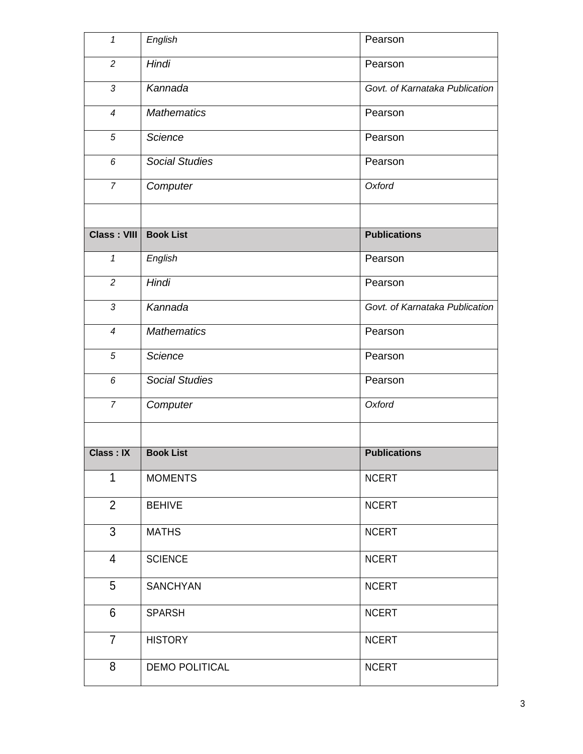| $\mathbf{1}$       | English               | Pearson                        |
|--------------------|-----------------------|--------------------------------|
| $\overline{c}$     | Hindi                 | Pearson                        |
| $\mathfrak{Z}$     | Kannada               | Govt. of Karnataka Publication |
| $\overline{4}$     | <b>Mathematics</b>    | Pearson                        |
| $\sqrt{5}$         | Science               | Pearson                        |
| 6                  | <b>Social Studies</b> | Pearson                        |
| $\overline{7}$     | Computer              | Oxford                         |
|                    |                       |                                |
| <b>Class: VIII</b> | <b>Book List</b>      | <b>Publications</b>            |
| $\mathbf{1}$       | English               | Pearson                        |
| $\overline{2}$     | Hindi                 | Pearson                        |
| $\mathfrak{Z}$     | Kannada               | Govt. of Karnataka Publication |
| $\overline{4}$     | <b>Mathematics</b>    | Pearson                        |
| 5                  | Science               | Pearson                        |
| 6                  | <b>Social Studies</b> | Pearson                        |
| $\overline{7}$     | Computer              | Oxford                         |
|                    |                       |                                |
| <b>Class: IX</b>   | <b>Book List</b>      | <b>Publications</b>            |
| 1                  | <b>MOMENTS</b>        | <b>NCERT</b>                   |
| $\overline{2}$     | <b>BEHIVE</b>         | <b>NCERT</b>                   |
| 3                  | <b>MATHS</b>          | <b>NCERT</b>                   |
| 4                  | <b>SCIENCE</b>        | <b>NCERT</b>                   |
| 5                  | <b>SANCHYAN</b>       | <b>NCERT</b>                   |
| 6                  | <b>SPARSH</b>         | <b>NCERT</b>                   |
| $\overline{7}$     | <b>HISTORY</b>        | <b>NCERT</b>                   |
|                    |                       |                                |
| 8                  | <b>DEMO POLITICAL</b> | <b>NCERT</b>                   |